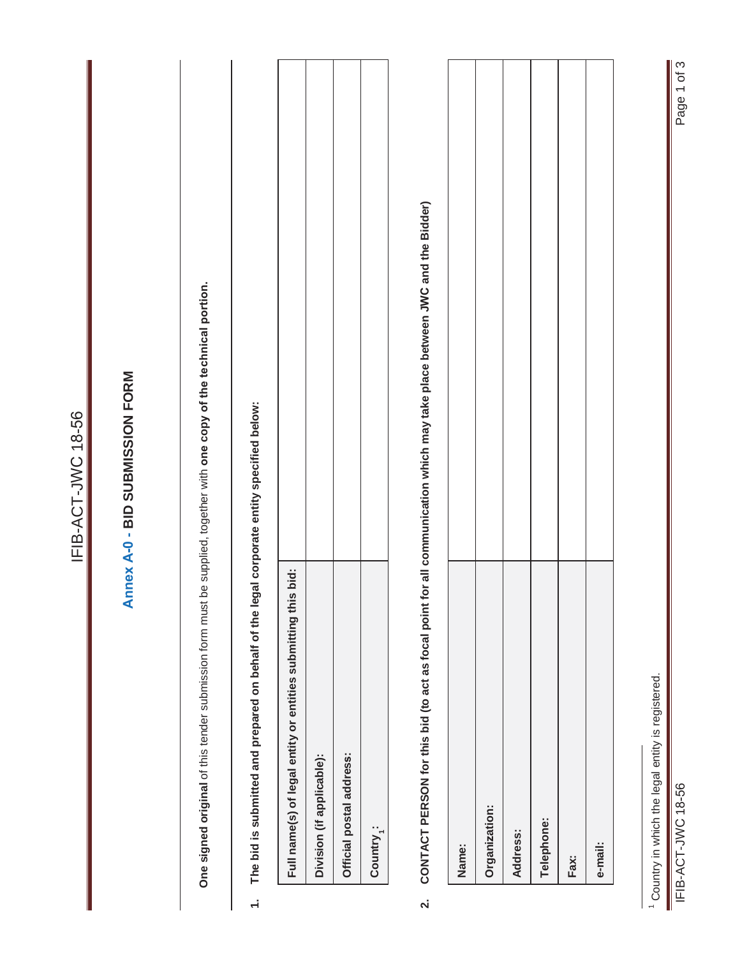|                         |                                                                                                                       | IFIB-ACT-JWC 18-56                                                                                                        |
|-------------------------|-----------------------------------------------------------------------------------------------------------------------|---------------------------------------------------------------------------------------------------------------------------|
|                         |                                                                                                                       | Annex A-0 - BID SUBMISSION FORM                                                                                           |
|                         | One signed original of this tender submission form must be supplied, together with one copy of the technical portion. |                                                                                                                           |
| $\div$                  | The bid is submitted and prepared on behalf of the leg                                                                | al corporate entity specified below:                                                                                      |
|                         | bid:<br>Full name(s) of legal entity or entities submitting this                                                      |                                                                                                                           |
|                         | Division (if applicable):                                                                                             |                                                                                                                           |
|                         | Official postal address:                                                                                              |                                                                                                                           |
|                         | Country <sub>1</sub> :                                                                                                |                                                                                                                           |
| $\overline{\mathbf{v}}$ |                                                                                                                       | CONTACT PERSON for this bid (to act as focal point for all communication which may take place between JWC and the Bidder) |
|                         | Name:                                                                                                                 |                                                                                                                           |
|                         | Organization:                                                                                                         |                                                                                                                           |
|                         | Address:                                                                                                              |                                                                                                                           |
|                         | Telephone:                                                                                                            |                                                                                                                           |
|                         | Fax:                                                                                                                  |                                                                                                                           |
|                         | e-mail:                                                                                                               |                                                                                                                           |
|                         | <sup>1</sup> Country in which the legal entity is registered.                                                         |                                                                                                                           |
|                         | IFIB-ACT-JWC 18-56                                                                                                    | Page 1 of 3                                                                                                               |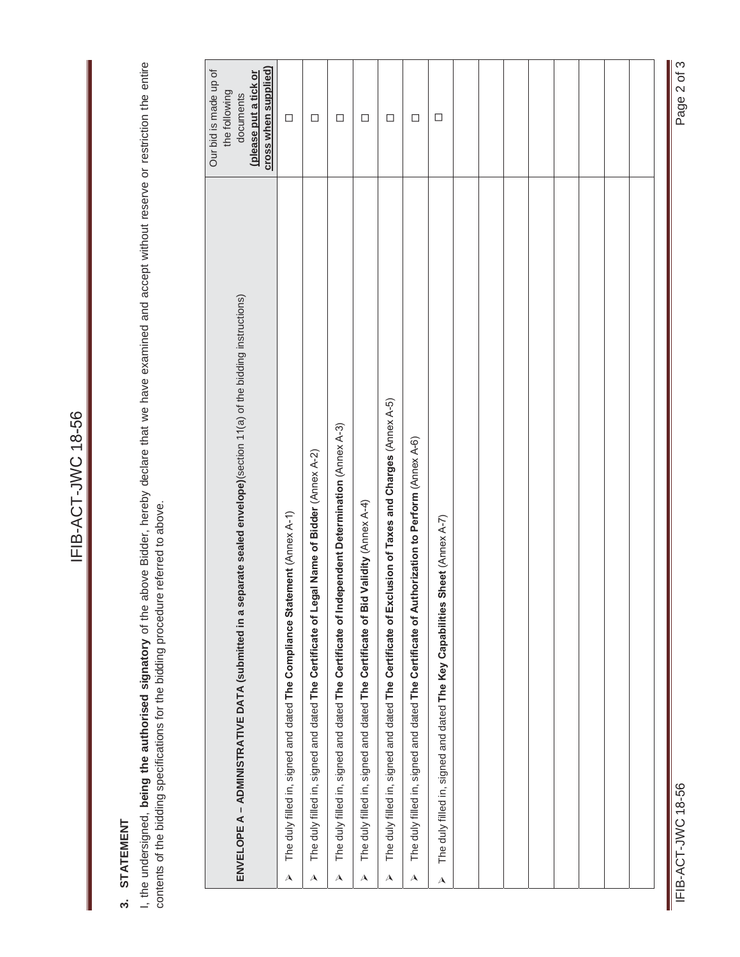# 3. STATEMENT **3. STATEMENT**

I, the undersigned, being the authorised signatory of the above Bidder, hereby declare that we have examined and accept without reserve or restriction the entire<br>contents of the bidding specifications for the bidding proce I, the undersigned, **being the authorised signatory** of the above Bidder, hereby declare that we have examined and accept without reserve or restriction the entire contents of the bidding specifications for the bidding procedure referred to above.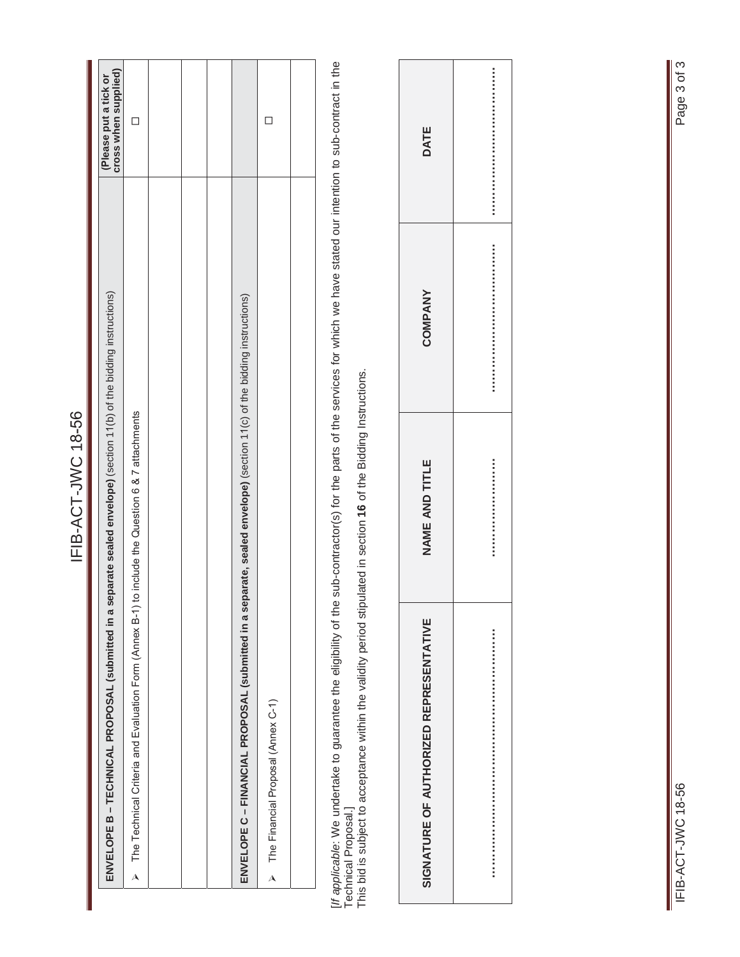|           | IFIB-ACT-JWC 18-56                                                                                                     |                                               |
|-----------|------------------------------------------------------------------------------------------------------------------------|-----------------------------------------------|
|           |                                                                                                                        |                                               |
|           | ENVELOPE B - TECHNICAL PROPOSAL (submitted in a separate sealed envelope) (section 11(b) of the bidding instructions)  | (Please put a tick or<br>cross when supplied) |
|           | $\triangleright$ The Technical Criteria and Evaluation Form (Annex B-1) to include the Question 6 & 7 attachments      | □                                             |
|           |                                                                                                                        |                                               |
|           |                                                                                                                        |                                               |
|           |                                                                                                                        |                                               |
|           | ENVELOPE C – FINANCIAL PROPOSAL (submitted in a separate, sealed envelope) (section 11(c) of the bidding instructions) |                                               |
| $\lambda$ | The Financial Proposal (Annex C-1)                                                                                     |                                               |
|           |                                                                                                                        |                                               |
|           |                                                                                                                        |                                               |

[/f applicable: We undertake to guarantee the eligibility of the sub-contractor(s) for the parts of the services for which we have stated our intention to sub-contract in the<br>Technical Proposal.]<br>This bid is subject to acc [*If applicable*: We undertake to guarantee the eligibility of the sub-contractor(s) for the parts of the services for which we have stated our intention to sub-contract in the Technical Proposal.]

This bid is subject to acceptance within the validity period stipulated in section **16** of the Bidding Instructions.

| DATE                                   |  |
|----------------------------------------|--|
| <b>COMPANY</b>                         |  |
| NAME AND TITLE                         |  |
| SIGNATURE OF AUTHORIZED REPRESENTATIVE |  |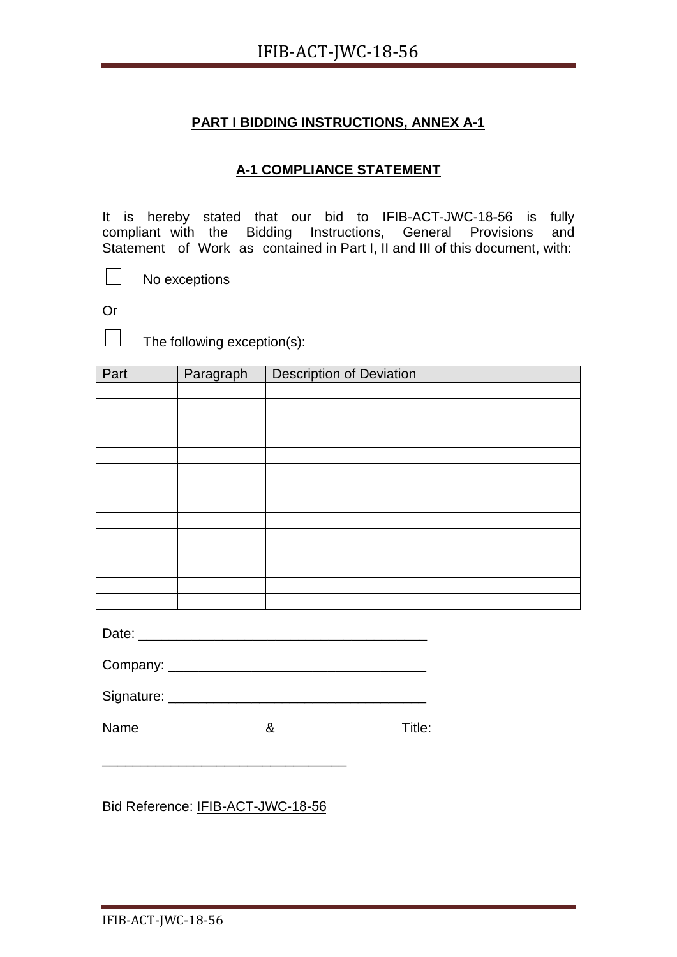## **A-1 COMPLIANCE STATEMENT**

It is hereby stated that our bid to IFIB-ACT-JWC-18-56 is fully compliant with the Bidding Instructions, General Provisions and Statement of Work as contained in Part I, II and III of this document, with:

No exceptions

Or

 $\mathbb{R}^n$ 

 $\Box$  The following exception(s):

| Part | Paragraph | <b>Description of Deviation</b> |
|------|-----------|---------------------------------|
|      |           |                                 |
|      |           |                                 |
|      |           |                                 |
|      |           |                                 |
|      |           |                                 |
|      |           |                                 |
|      |           |                                 |
|      |           |                                 |
|      |           |                                 |
|      |           |                                 |
|      |           |                                 |
|      |           |                                 |
|      |           |                                 |
|      |           |                                 |

Date: \_\_\_\_\_\_\_\_\_\_\_\_\_\_\_\_\_\_\_\_\_\_\_\_\_\_\_\_\_\_\_\_\_\_\_\_\_\_

| Company: |
|----------|
|          |

| Signature: |  |  |  |
|------------|--|--|--|
|            |  |  |  |

Name 8 8 Title:

Bid Reference: IFIB-ACT-JWC-18-56

\_\_\_\_\_\_\_\_\_\_\_\_\_\_\_\_\_\_\_\_\_\_\_\_\_\_\_\_\_\_\_\_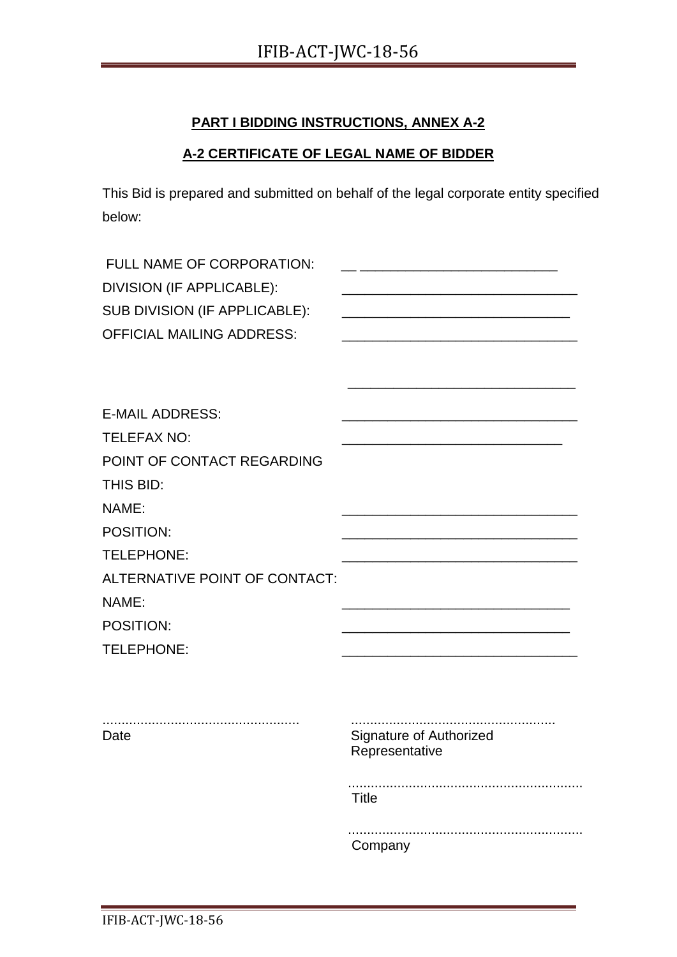## **A-2 CERTIFICATE OF LEGAL NAME OF BIDDER**

This Bid is prepared and submitted on behalf of the legal corporate entity specified below:

| FULL NAME OF CORPORATION:<br>DIVISION (IF APPLICABLE):<br>SUB DIVISION (IF APPLICABLE):<br><b>OFFICIAL MAILING ADDRESS:</b> | <u> 1989 - Johann John Stone, mars et al. (1989)</u> |
|-----------------------------------------------------------------------------------------------------------------------------|------------------------------------------------------|
|                                                                                                                             |                                                      |
| <b>E-MAIL ADDRESS:</b>                                                                                                      |                                                      |
| <b>TELEFAX NO:</b>                                                                                                          |                                                      |
| POINT OF CONTACT REGARDING                                                                                                  |                                                      |
| THIS BID:                                                                                                                   |                                                      |
| NAME:                                                                                                                       |                                                      |
| POSITION:                                                                                                                   |                                                      |
| TELEPHONE:                                                                                                                  |                                                      |
| ALTERNATIVE POINT OF CONTACT:                                                                                               |                                                      |
| NAME:                                                                                                                       |                                                      |
| POSITION:                                                                                                                   |                                                      |
| TELEPHONE:                                                                                                                  |                                                      |
|                                                                                                                             |                                                      |
| Date                                                                                                                        | Signature of Authorized<br>Representative            |
|                                                                                                                             | <b>Title</b>                                         |
|                                                                                                                             | Company                                              |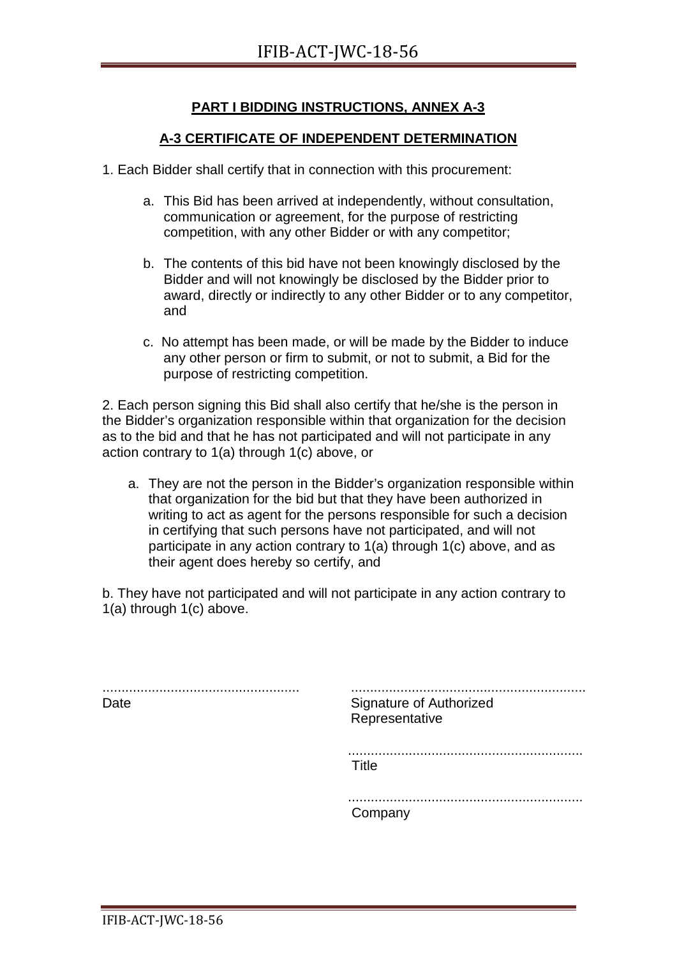## **A-3 CERTIFICATE OF INDEPENDENT DETERMINATION**

- 1. Each Bidder shall certify that in connection with this procurement:
	- a. This Bid has been arrived at independently, without consultation, communication or agreement, for the purpose of restricting competition, with any other Bidder or with any competitor;
	- b. The contents of this bid have not been knowingly disclosed by the Bidder and will not knowingly be disclosed by the Bidder prior to award, directly or indirectly to any other Bidder or to any competitor, and
	- c. No attempt has been made, or will be made by the Bidder to induce any other person or firm to submit, or not to submit, a Bid for the purpose of restricting competition.

2. Each person signing this Bid shall also certify that he/she is the person in the Bidder's organization responsible within that organization for the decision as to the bid and that he has not participated and will not participate in any action contrary to 1(a) through 1(c) above, or

a. They are not the person in the Bidder's organization responsible within that organization for the bid but that they have been authorized in writing to act as agent for the persons responsible for such a decision in certifying that such persons have not participated, and will not participate in any action contrary to 1(a) through 1(c) above, and as their agent does hereby so certify, and

b. They have not participated and will not participate in any action contrary to 1(a) through 1(c) above.

.................................................... Date .............................................................. Signature of Authorized Representative .............................................................. Title .............................................................. Company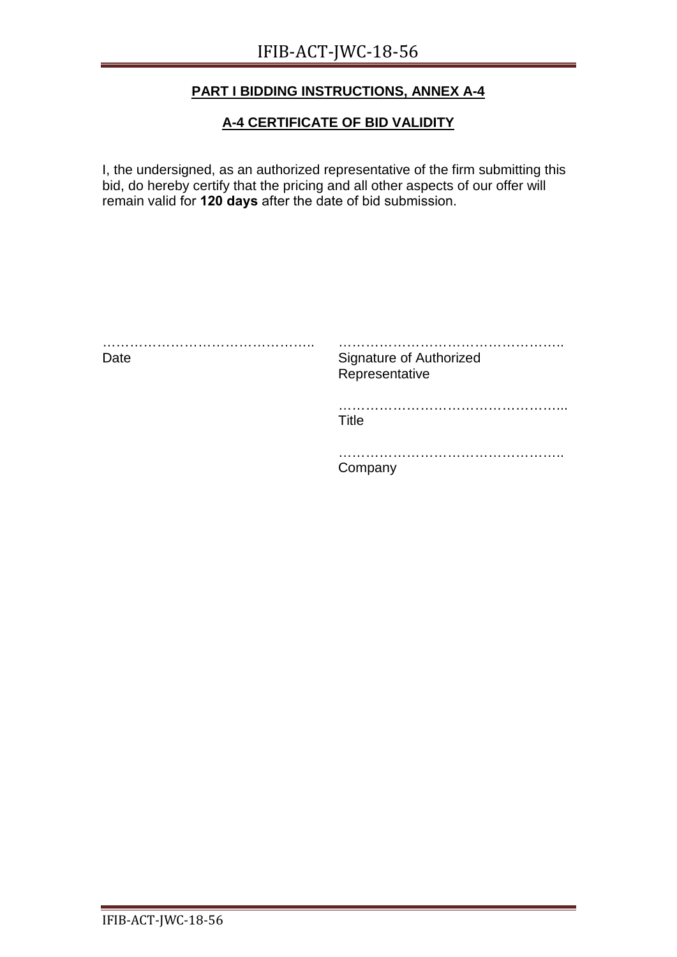### **A-4 CERTIFICATE OF BID VALIDITY**

I, the undersigned, as an authorized representative of the firm submitting this bid, do hereby certify that the pricing and all other aspects of our offer will remain valid for **120 days** after the date of bid submission.

| .<br>Date | Signature of Authorized<br>Representative |
|-----------|-------------------------------------------|
|           | Title                                     |
|           | ompany                                    |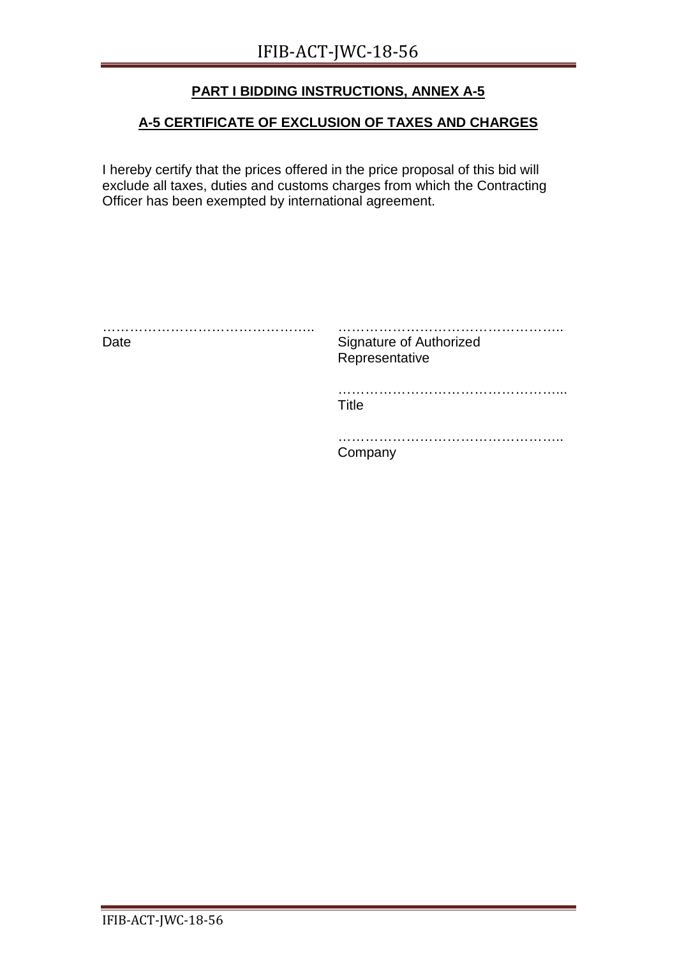## **A-5 CERTIFICATE OF EXCLUSION OF TAXES AND CHARGES**

I hereby certify that the prices offered in the price proposal of this bid will exclude all taxes, duties and customs charges from which the Contracting Officer has been exempted by international agreement.

| .<br>Date | Signature of Authorized<br>Representative |
|-----------|-------------------------------------------|
|           | .<br>Title                                |
|           | Company                                   |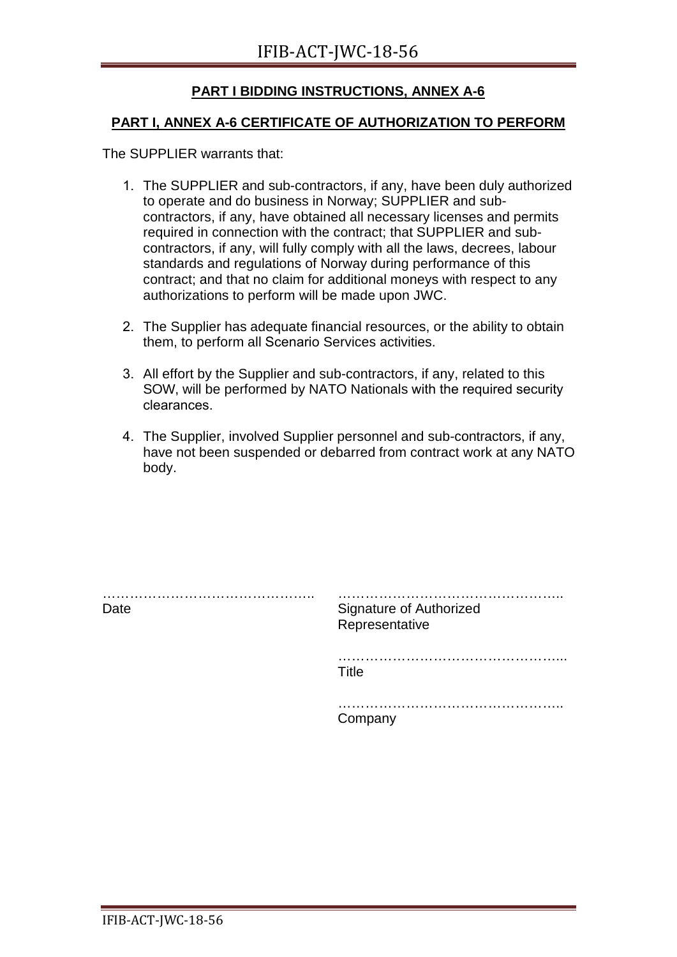#### **PART I, ANNEX A-6 CERTIFICATE OF AUTHORIZATION TO PERFORM**

The SUPPLIER warrants that:

- 1. The SUPPLIER and sub-contractors, if any, have been duly authorized to operate and do business in Norway; SUPPLIER and subcontractors, if any, have obtained all necessary licenses and permits required in connection with the contract; that SUPPLIER and subcontractors, if any, will fully comply with all the laws, decrees, labour standards and regulations of Norway during performance of this contract; and that no claim for additional moneys with respect to any authorizations to perform will be made upon JWC.
- 2. The Supplier has adequate financial resources, or the ability to obtain them, to perform all Scenario Services activities.
- 3. All effort by the Supplier and sub-contractors, if any, related to this SOW, will be performed by NATO Nationals with the required security clearances.
- 4. The Supplier, involved Supplier personnel and sub-contractors, if any, have not been suspended or debarred from contract work at any NATO body.

| Date | <b>Signature of Authorized</b><br>Representative |
|------|--------------------------------------------------|
|      | .<br>Title                                       |
|      | Company                                          |
|      |                                                  |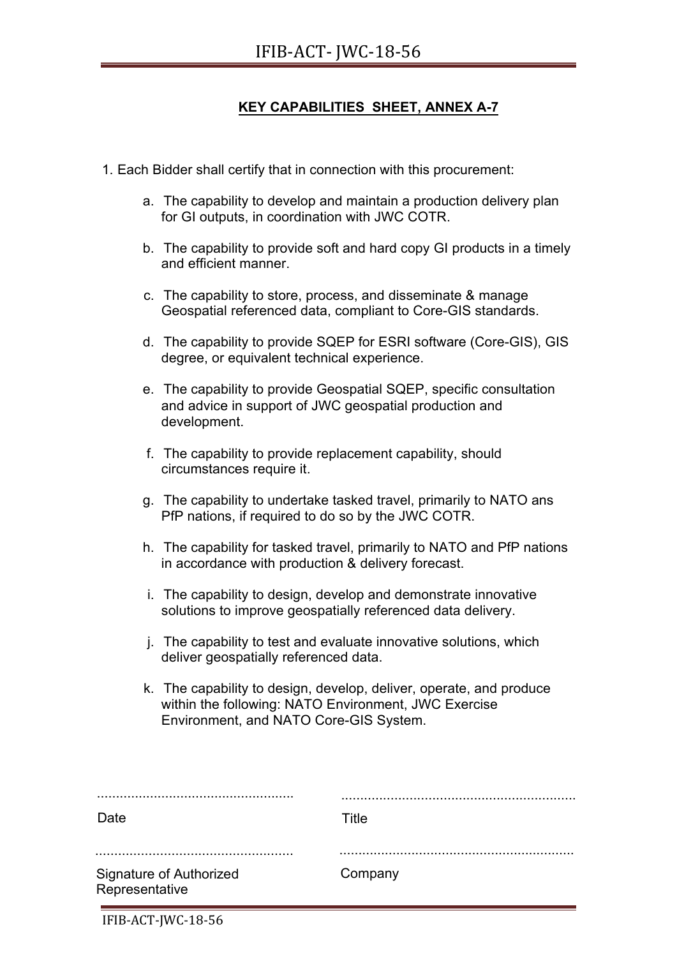## **KEY CAPABILITIES SHEET, ANNEX A-7**

- 1. Each Bidder shall certify that in connection with this procurement:
	- a. The capability to develop and maintain a production delivery plan for GI outputs, in coordination with JWC COTR.
	- b. The capability to provide soft and hard copy GI products in a timely and efficient manner.
	- c. The capability to store, process, and disseminate & manage Geospatial referenced data, compliant to Core-GIS standards.
	- d. The capability to provide SQEP for ESRI software (Core-GIS), GIS degree, or equivalent technical experience.
	- e. The capability to provide Geospatial SQEP, specific consultation and advice in support of JWC geospatial production and development.
	- f. The capability to provide replacement capability, should circumstances require it.
	- g. The capability to undertake tasked travel, primarily to NATO ans PfP nations, if required to do so by the JWC COTR.
	- h. The capability for tasked travel, primarily to NATO and PfP nations in accordance with production & delivery forecast.
	- i. The capability to design, develop and demonstrate innovative solutions to improve geospatially referenced data delivery.
	- j. The capability to test and evaluate innovative solutions, which deliver geospatially referenced data.
	- k. The capability to design, develop, deliver, operate, and produce within the following: NATO Environment, JWC Exercise Environment, and NATO Core-GIS System.

| .                                         |         |
|-------------------------------------------|---------|
| Date                                      | Title   |
| Signature of Authorized<br>Representative | Company |

IFIB-ACT-JWC-18-56